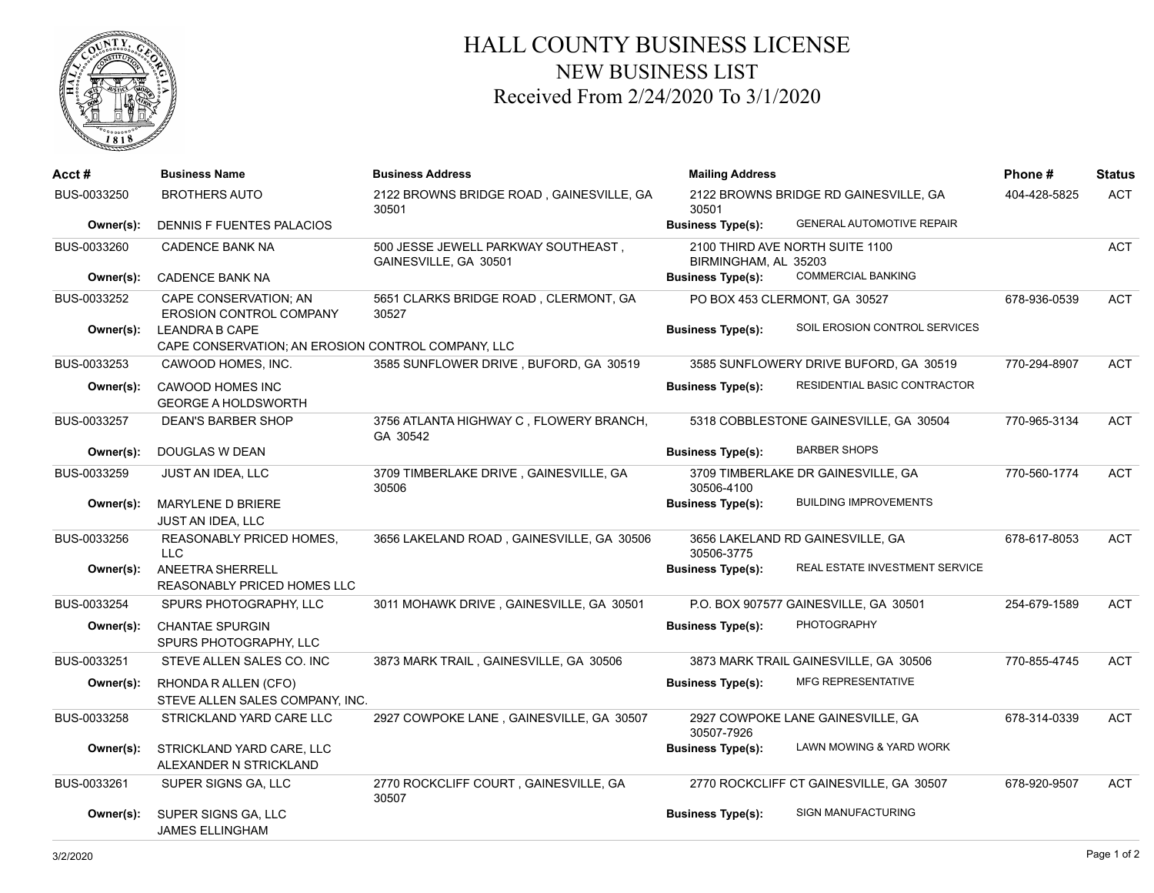

## HALL COUNTY BUSINESS LICENSE NEW BUSINESS LIST Received From 2/24/2020 To 3/1/2020

| Acct #      | <b>Business Name</b>                                                        | <b>Business Address</b>                                      | <b>Mailing Address</b>                         |                                         | Phone#       | <b>Status</b> |
|-------------|-----------------------------------------------------------------------------|--------------------------------------------------------------|------------------------------------------------|-----------------------------------------|--------------|---------------|
| BUS-0033250 | <b>BROTHERS AUTO</b>                                                        | 2122 BROWNS BRIDGE ROAD, GAINESVILLE, GA<br>30501            | 2122 BROWNS BRIDGE RD GAINESVILLE, GA<br>30501 |                                         | 404-428-5825 | <b>ACT</b>    |
| Owner(s):   | DENNIS F FUENTES PALACIOS                                                   |                                                              | <b>Business Type(s):</b>                       | <b>GENERAL AUTOMOTIVE REPAIR</b>        |              |               |
| BUS-0033260 | <b>CADENCE BANK NA</b>                                                      | 500 JESSE JEWELL PARKWAY SOUTHEAST,<br>GAINESVILLE, GA 30501 | BIRMINGHAM, AL 35203                           | 2100 THIRD AVE NORTH SUITE 1100         |              | ACT           |
| Owner(s):   | <b>CADENCE BANK NA</b>                                                      |                                                              | <b>Business Type(s):</b>                       | <b>COMMERCIAL BANKING</b>               |              |               |
| BUS-0033252 | <b>CAPE CONSERVATION: AN</b><br>EROSION CONTROL COMPANY                     | 5651 CLARKS BRIDGE ROAD, CLERMONT, GA<br>30527               |                                                | PO BOX 453 CLERMONT, GA 30527           | 678-936-0539 | ACT           |
| Owner(s):   | <b>LEANDRA B CAPE</b><br>CAPE CONSERVATION; AN EROSION CONTROL COMPANY, LLC |                                                              | <b>Business Type(s):</b>                       | SOIL EROSION CONTROL SERVICES           |              |               |
| BUS-0033253 | CAWOOD HOMES, INC.                                                          | 3585 SUNFLOWER DRIVE, BUFORD, GA 30519                       |                                                | 3585 SUNFLOWERY DRIVE BUFORD, GA 30519  | 770-294-8907 | <b>ACT</b>    |
| Owner(s):   | CAWOOD HOMES INC<br><b>GEORGE A HOLDSWORTH</b>                              |                                                              | <b>Business Type(s):</b>                       | RESIDENTIAL BASIC CONTRACTOR            |              |               |
| BUS-0033257 | <b>DEAN'S BARBER SHOP</b>                                                   | 3756 ATLANTA HIGHWAY C, FLOWERY BRANCH,<br>GA 30542          |                                                | 5318 COBBLESTONE GAINESVILLE, GA 30504  | 770-965-3134 | <b>ACT</b>    |
| Owner(s):   | DOUGLAS W DEAN                                                              |                                                              | <b>Business Type(s):</b>                       | <b>BARBER SHOPS</b>                     |              |               |
| BUS-0033259 | <b>JUST AN IDEA, LLC</b>                                                    | 3709 TIMBERLAKE DRIVE, GAINESVILLE, GA<br>30506              | 30506-4100                                     | 3709 TIMBERLAKE DR GAINESVILLE, GA      | 770-560-1774 | <b>ACT</b>    |
| Owner(s):   | MARYLENE D BRIERE<br><b>JUST AN IDEA, LLC</b>                               |                                                              | <b>Business Type(s):</b>                       | <b>BUILDING IMPROVEMENTS</b>            |              |               |
| BUS-0033256 | <b>REASONABLY PRICED HOMES,</b><br><b>LLC</b>                               | 3656 LAKELAND ROAD, GAINESVILLE, GA 30506                    | 30506-3775                                     | 3656 LAKELAND RD GAINESVILLE, GA        | 678-617-8053 | <b>ACT</b>    |
| Owner(s):   | ANEETRA SHERRELL<br><b>REASONABLY PRICED HOMES LLC</b>                      |                                                              | <b>Business Type(s):</b>                       | REAL ESTATE INVESTMENT SERVICE          |              |               |
| BUS-0033254 | SPURS PHOTOGRAPHY, LLC                                                      | 3011 MOHAWK DRIVE, GAINESVILLE, GA 30501                     |                                                | P.O. BOX 907577 GAINESVILLE, GA 30501   | 254-679-1589 | <b>ACT</b>    |
| Owner(s):   | <b>CHANTAE SPURGIN</b><br>SPURS PHOTOGRAPHY, LLC                            |                                                              | <b>Business Type(s):</b>                       | <b>PHOTOGRAPHY</b>                      |              |               |
| BUS-0033251 | STEVE ALLEN SALES CO. INC                                                   | 3873 MARK TRAIL, GAINESVILLE, GA 30506                       |                                                | 3873 MARK TRAIL GAINESVILLE, GA 30506   | 770-855-4745 | <b>ACT</b>    |
| Owner(s):   | RHONDA R ALLEN (CFO)<br>STEVE ALLEN SALES COMPANY, INC.                     |                                                              | <b>Business Type(s):</b>                       | <b>MFG REPRESENTATIVE</b>               |              |               |
| BUS-0033258 | STRICKLAND YARD CARE LLC                                                    | 2927 COWPOKE LANE, GAINESVILLE, GA 30507                     | 30507-7926                                     | 2927 COWPOKE LANE GAINESVILLE, GA       | 678-314-0339 | <b>ACT</b>    |
| Owner(s):   | STRICKLAND YARD CARE, LLC<br>ALEXANDER N STRICKLAND                         |                                                              | <b>Business Type(s):</b>                       | LAWN MOWING & YARD WORK                 |              |               |
| BUS-0033261 | SUPER SIGNS GA, LLC                                                         | 2770 ROCKCLIFF COURT, GAINESVILLE, GA<br>30507               |                                                | 2770 ROCKCLIFF CT GAINESVILLE, GA 30507 | 678-920-9507 | ACT           |
| Owner(s):   | SUPER SIGNS GA, LLC<br>JAMES ELLINGHAM                                      |                                                              | <b>Business Type(s):</b>                       | SIGN MANUFACTURING                      |              |               |